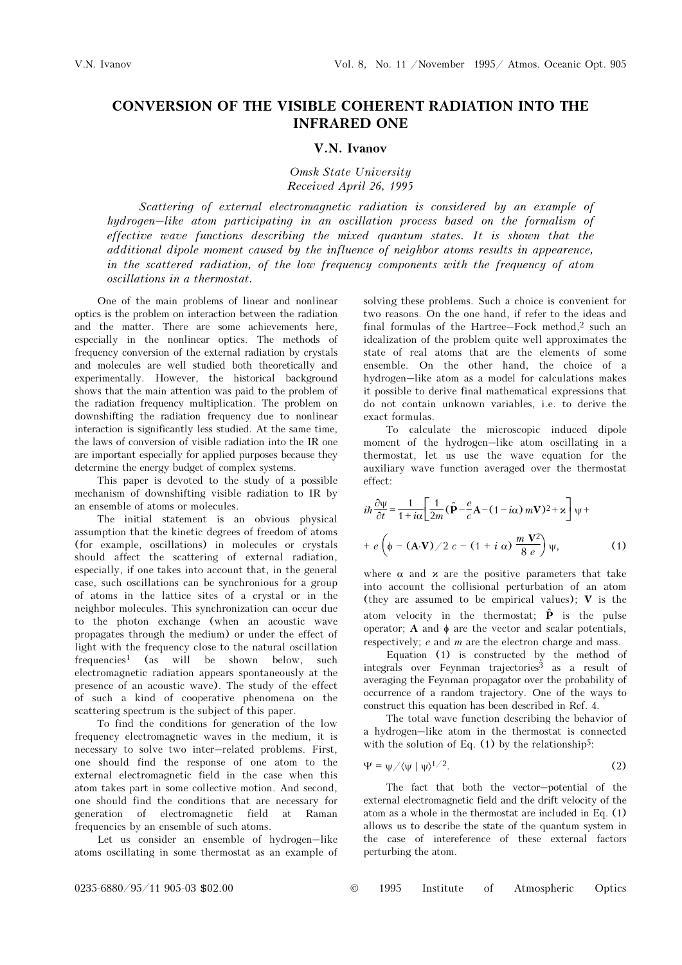## CONVERSION OF THE VISIBLE COHERENT RADIATION INTO THE INFRARED ONE

## V.N. Ivanov

Omsk State University Received April 26, 1995

Scattering of external electromagnetic radiation is considered by an example of hydrogen–like atom participating in an oscillation process based on the formalism of effective wave functions describing the mixed quantum states. It is shown that the additional dipole moment caused by the influence of neighbor atoms results in appearence, in the scattered radiation, of the low frequency components with the frequency of atom oscillations in a thermostat.

One of the main problems of linear and nonlinear optics is the problem on interaction between the radiation and the matter. There are some achievements here, especially in the nonlinear optics. The methods of frequency conversion of the external radiation by crystals and molecules are well studied both theoretically and experimentally. However, the historical background shows that the main attention was paid to the problem of the radiation frequency multiplication. The problem on downshifting the radiation frequency due to nonlinear interaction is significantly less studied. At the same time, the laws of conversion of visible radiation into the IR one are important especially for applied purposes because they determine the energy budget of complex systems.

This paper is devoted to the study of a possible mechanism of downshifting visible radiation to IR by an ensemble of atoms or molecules.

The initial statement is an obvious physical assumption that the kinetic degrees of freedom of atoms (for example, oscillations) in molecules or crystals should affect the scattering of external radiation, especially, if one takes into account that, in the general case, such oscillations can be synchronious for a group of atoms in the lattice sites of a crystal or in the neighbor molecules. This synchronization can occur due to the photon exchange (when an acoustic wave propagates through the medium) or under the effect of light with the frequency close to the natural oscillation frequencies<sup>1</sup> (as will be shown below, such electromagnetic radiation appears spontaneously at the presence of an acoustic wave). The study of the effect of such a kind of cooperative phenomena on the scattering spectrum is the subject of this paper.

To find the conditions for generation of the low frequency electromagnetic waves in the medium, it is necessary to solve two inter–related problems. First, one should find the response of one atom to the external electromagnetic field in the case when this atom takes part in some collective motion. And second, one should find the conditions that are necessary for generation of electromagnetic field at Raman frequencies by an ensemble of such atoms.

Let us consider an ensemble of hydrogen–like atoms oscillating in some thermostat as an example of solving these problems. Such a choice is convenient for two reasons. On the one hand, if refer to the ideas and final formulas of the Hartree–Fock method,2 such an idealization of the problem quite well approximates the state of real atoms that are the elements of some ensemble. On the other hand, the choice of a hydrogen–like atom as a model for calculations makes it possible to derive final mathematical expressions that do not contain unknown variables, i.e. to derive the exact formulas.

To calculate the microscopic induced dipole moment of the hydrogen–like atom oscillating in a thermostat, let us use the wave equation for the auxiliary wave function averaged over the thermostat effect:

$$
i\hbar \frac{\partial \Psi}{\partial t} = \frac{1}{1 + i\alpha} \left[ \frac{1}{2m} (\hat{\mathbf{P}} - \frac{e}{c} \mathbf{A} - (1 - i\alpha) m \mathbf{V})^2 + \mathbf{x} \right] \Psi +
$$
  
+  $e \left( \phi - (\mathbf{A} \cdot \mathbf{V}) / 2 c - (1 + i\alpha) \frac{m \mathbf{V}^2}{8 e} \right) \psi,$  (1)

where  $\alpha$  and  $\alpha$  are the positive parameters that take into account the collisional perturbation of an atom (they are assumed to be empirical values);  $V$  is the atom velocity in the thermostat;  $\hat{\mathbf{P}}$  is the pulse operator; A and φ are the vector and scalar potentials, respectively; e and m are the electron charge and mass.

Equation (1) is constructed by the method of integrals over Feynman trajectories<sup>3</sup> as a result of averaging the Feynman propagator over the probability of occurrence of a random trajectory. One of the ways to construct this equation has been described in Ref. 4.

The total wave function describing the behavior of a hydrogen–like atom in the thermostat is connected with the solution of Eq.  $(1)$  by the relationship<sup>5</sup>:

$$
\Psi = \psi / \langle \psi | \psi \rangle^{1/2}.
$$
 (2)

The fact that both the vector–potential of the external electromagnetic field and the drift velocity of the atom as a whole in the thermostat are included in Eq. (1) allows us to describe the state of the quantum system in the case of intereference of these external factors perturbing the atom.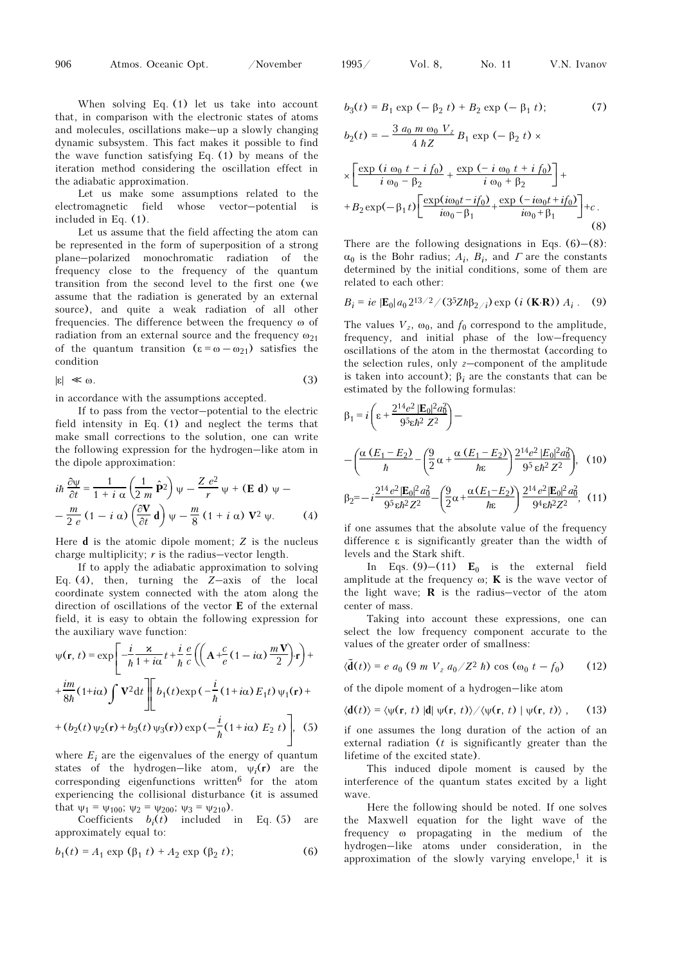When solving Eq. (1) let us take into account that, in comparison with the electronic states of atoms and molecules, oscillations make–up a slowly changing dynamic subsystem. This fact makes it possible to find the wave function satisfying Eq. (1) by means of the iteration method considering the oscillation effect in the adiabatic approximation.

Let us make some assumptions related to the electromagnetic field whose vector–potential is included in Eq. (1).

Let us assume that the field affecting the atom can be represented in the form of superposition of a strong plane–polarized monochromatic radiation of the frequency close to the frequency of the quantum transition from the second level to the first one (we assume that the radiation is generated by an external source), and quite a weak radiation of all other frequencies. The difference between the frequency ω of radiation from an external source and the frequency  $\omega_{21}$ of the quantum transition  $(\epsilon = \omega - \omega_{21})$  satisfies the condition

$$
|\varepsilon| \ll \omega. \tag{3}
$$

in accordance with the assumptions accepted.

If to pass from the vector–potential to the electric field intensity in Eq. (1) and neglect the terms that make small corrections to the solution, one can write the following expression for the hydrogen–like atom in the dipole approximation:

$$
i\hbar \frac{\partial \Psi}{\partial t} = \frac{1}{1 + i \alpha} \left( \frac{1}{2 m} \hat{\mathbf{P}}^2 \right) \Psi - \frac{Z e^2}{r} \Psi + (\mathbf{E} \mathbf{d}) \Psi - \frac{m}{2 e} (1 - i \alpha) \left( \frac{\partial \mathbf{V}}{\partial t} \mathbf{d} \right) \Psi - \frac{m}{8} (1 + i \alpha) \mathbf{V}^2 \Psi.
$$
 (4)

Here  $d$  is the atomic dipole moment;  $Z$  is the nucleus charge multiplicity;  $r$  is the radius–vector length.

If to apply the adiabatic approximation to solving Eq. (4), then, turning the Z–axis of the local coordinate system connected with the atom along the direction of oscillations of the vector E of the external field, it is easy to obtain the following expression for the auxiliary wave function:

$$
\psi(\mathbf{r}, t) = \exp\left[-\frac{i}{\hbar} \frac{\varkappa}{1 + i\alpha} t + \frac{i}{\hbar} \frac{e}{c} \left( \left( \mathbf{A} + \frac{c}{e} (1 - i\alpha) \frac{m \mathbf{V}}{2} \right) \cdot \mathbf{r} \right) + \frac{im}{8\hbar} (1 + i\alpha) \int \mathbf{V}^2 dt \right] \left[ b_1(t) \exp\left(-\frac{i}{\hbar} (1 + i\alpha) E_1 t\right) \psi_1(\mathbf{r}) + (b_2(t) \psi_2(\mathbf{r}) + b_3(t) \psi_3(\mathbf{r})\right) \exp\left(-\frac{i}{\hbar} (1 + i\alpha) E_2 t\right) \right], \quad (5)
$$

where  $E_i$  are the eigenvalues of the energy of quantum states of the hydrogen–like atom,  $\psi_i(\mathbf{r})$  are the corresponding eigenfunctions written<sup>6</sup> for the atom experiencing the collisional disturbance (it is assumed

that  $\psi_1 = \psi_{100}$ ;  $\psi_2 = \psi_{200}$ ;  $\psi_3 = \psi_{210}$ ).<br>Coefficients  $b_i(t)$  included in Coefficients  $b_i(t)$  included in Eq. (5) are approximately equal to:

$$
b_1(t) = A_1 \exp (\beta_1 t) + A_2 \exp (\beta_2 t); \tag{6}
$$

$$
b_3(t) = B_1 \exp(-\beta_2 t) + B_2 \exp(-\beta_1 t); \tag{7}
$$

$$
b_2(t) = -\frac{3 a_0 m \omega_0 V_z}{4 h Z} B_1 \exp(-\beta_2 t) \times
$$
  

$$
\times \left[ \frac{\exp(i \omega_0 t - i f_0)}{i \omega_0 - \beta_2} + \frac{\exp(-i \omega_0 t + i f_0)}{i \omega_0 + \beta_2} \right] +
$$
  
+
$$
B_2 \exp(-\beta_1 t) \left[ \frac{\exp(i \omega_0 t - i f_0)}{i \omega_0 - \beta_1} + \frac{\exp(-i \omega_0 t + i f_0)}{i \omega_0 + \beta_1} \right] + c.
$$
 (8)

There are the following designations in Eqs.  $(6)$ – $(8)$ :  $\alpha_0$  is the Bohr radius;  $A_i$ ,  $B_i$ , and  $\Gamma$  are the constants determined by the initial conditions, some of them are related to each other:

$$
B_i = ie | \mathbf{E}_0 | a_0 2^{13/2} / (3^5 Z \hbar \beta_{2/i}) \exp(i (\mathbf{K} \cdot \mathbf{R})) A_i .
$$
 (9)

The values  $V_z$ ,  $\omega_0$ , and  $f_0$  correspond to the amplitude, frequency, and initial phase of the low–frequency oscillations of the atom in the thermostat (according to the selection rules, only  $z$ –component of the amplitude is taken into account);  $β<sub>i</sub>$  are the constants that can be estimated by the following formulas:

$$
\beta_1 = i \left( \varepsilon + \frac{2^{14} e^2 |\mathbf{E}_0|^2 a_0^2}{9^5 \varepsilon \hbar^2 Z^2} \right) -
$$
  
 
$$
- \left( \frac{\alpha (E_1 - E_2)}{\hbar} - \left( \frac{9}{2} \alpha + \frac{\alpha (E_1 - E_2)}{\hbar \varepsilon} \right) \frac{2^{14} e^2 |\mathbf{E}_0|^2 a_0^2}{9^5 \varepsilon \hbar^2 Z^2} \right), \quad (10)
$$
  
 
$$
2^{14} e^2 |\mathbf{E}_0|^2 a_0^2 \quad (9 \quad \alpha (E_1 - E_2)) \frac{2^{14} e^2 |\mathbf{E}_0|^2 a_0^2}{2^{14} e^2 |\mathbf{E}_0|^2 a_0^2} \quad (11)
$$

$$
\beta_2 = -i \frac{2^{14} e^2 |\mathbf{E}_0|^2 a_0^2}{9^5 \epsilon \hbar^2 Z^2} - \left(\frac{9}{2} \alpha + \frac{\alpha (E_1 - E_2)}{\hbar \epsilon}\right) \frac{2^{14} e^2 |\mathbf{E}_0|^2 a_0^2}{9^4 \epsilon \hbar^2 Z^2},
$$
(11)

if one assumes that the absolute value of the frequency difference ε is significantly greater than the width of levels and the Stark shift.

In Eqs. (9)–(11)  $E_0$  is the external field amplitude at the frequency  $\omega$ ; **K** is the wave vector of the light wave;  **is the radius–vector of the atom** center of mass.

Taking into account these expressions, one can select the low frequency component accurate to the values of the greater order of smallness:

$$
\langle \tilde{\mathbf{d}}(t) \rangle = e \ a_0 \ (9 \ m \ V_z \ a_0 / Z^2 \ \hbar) \cos \ (\omega_0 \ t - f_0) \tag{12}
$$

of the dipole moment of a hydrogen–like atom

$$
\langle \mathbf{d}(t) \rangle = \langle \psi(\mathbf{r}, t) | \mathbf{d} | \psi(\mathbf{r}, t) \rangle / \langle \psi(\mathbf{r}, t) | \psi(\mathbf{r}, t) \rangle , \qquad (13)
$$

if one assumes the long duration of the action of an external radiation  $(t$  is significantly greater than the lifetime of the excited state).

This induced dipole moment is caused by the interference of the quantum states excited by a light wave.

Here the following should be noted. If one solves the Maxwell equation for the light wave of the frequency ω propagating in the medium of the hydrogen–like atoms under consideration, in the approximation of the slowly varying envelope,<sup>1</sup> it is